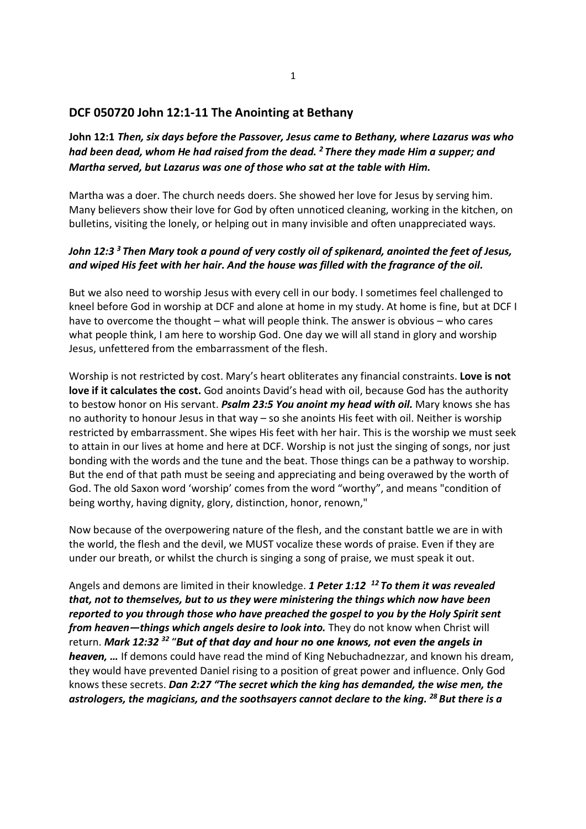#### DCF 050720 John 12:1-11 The Anointing at Bethany

John 12:1 Then, six days before the Passover, Jesus came to Bethany, where Lazarus was who had been dead, whom He had raised from the dead. <sup>2</sup> There they made Him a supper; and Martha served, but Lazarus was one of those who sat at the table with Him.

Martha was a doer. The church needs doers. She showed her love for Jesus by serving him. Many believers show their love for God by often unnoticed cleaning, working in the kitchen, on bulletins, visiting the lonely, or helping out in many invisible and often unappreciated ways.

# John 12:3<sup>3</sup> Then Mary took a pound of very costly oil of spikenard, anointed the feet of Jesus, and wiped His feet with her hair. And the house was filled with the fragrance of the oil.

But we also need to worship Jesus with every cell in our body. I sometimes feel challenged to kneel before God in worship at DCF and alone at home in my study. At home is fine, but at DCF I have to overcome the thought – what will people think. The answer is obvious – who cares what people think, I am here to worship God. One day we will all stand in glory and worship Jesus, unfettered from the embarrassment of the flesh.

Worship is not restricted by cost. Mary's heart obliterates any financial constraints. Love is not love if it calculates the cost. God anoints David's head with oil, because God has the authority to bestow honor on His servant. Psalm 23:5 You anoint my head with oil. Mary knows she has no authority to honour Jesus in that way – so she anoints His feet with oil. Neither is worship restricted by embarrassment. She wipes His feet with her hair. This is the worship we must seek to attain in our lives at home and here at DCF. Worship is not just the singing of songs, nor just bonding with the words and the tune and the beat. Those things can be a pathway to worship. But the end of that path must be seeing and appreciating and being overawed by the worth of God. The old Saxon word 'worship' comes from the word "worthy", and means "condition of being worthy, having dignity, glory, distinction, honor, renown,"

Now because of the overpowering nature of the flesh, and the constant battle we are in with the world, the flesh and the devil, we MUST vocalize these words of praise. Even if they are under our breath, or whilst the church is singing a song of praise, we must speak it out.

Angels and demons are limited in their knowledge. 1 Peter 1:12  $^{12}$  To them it was revealed that, not to themselves, but to us they were ministering the things which now have been reported to you through those who have preached the gospel to you by the Holy Spirit sent from heaven—things which angels desire to look into. They do not know when Christ will return. Mark 12:32  $32$  "But of that day and hour no one knows, not even the angels in heaven, ... If demons could have read the mind of King Nebuchadnezzar, and known his dream, they would have prevented Daniel rising to a position of great power and influence. Only God knows these secrets. Dan 2:27 "The secret which the king has demanded, the wise men, the astrologers, the magicians, and the soothsayers cannot declare to the king. <sup>28</sup> But there is a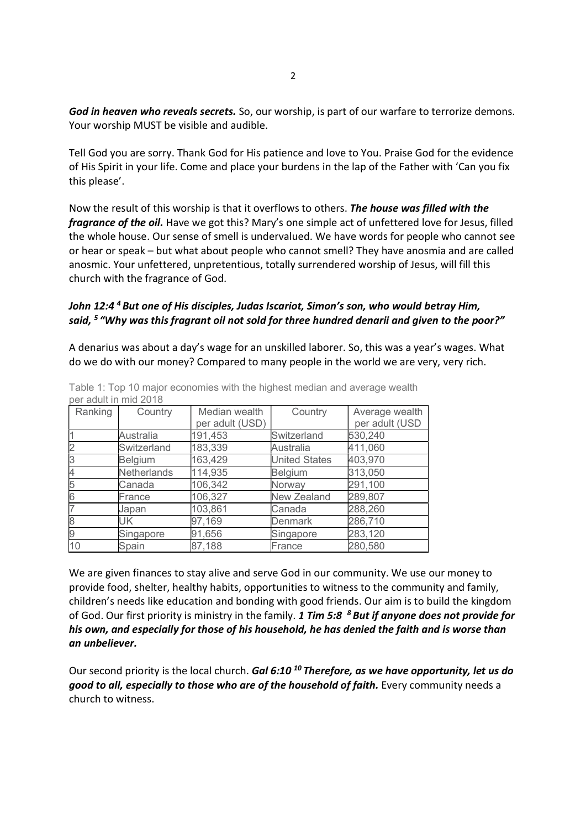God in heaven who reveals secrets. So, our worship, is part of our warfare to terrorize demons. Your worship MUST be visible and audible.

Tell God you are sorry. Thank God for His patience and love to You. Praise God for the evidence of His Spirit in your life. Come and place your burdens in the lap of the Father with 'Can you fix this please'.

Now the result of this worship is that it overflows to others. The house was filled with the fragrance of the oil. Have we got this? Mary's one simple act of unfettered love for Jesus, filled the whole house. Our sense of smell is undervalued. We have words for people who cannot see or hear or speak – but what about people who cannot smell? They have anosmia and are called anosmic. Your unfettered, unpretentious, totally surrendered worship of Jesus, will fill this church with the fragrance of God.

#### John 12:4<sup>4</sup> But one of His disciples, Judas Iscariot, Simon's son, who would betray Him, said, <sup>5</sup> "Why was this fragrant oil not sold for three hundred denarii and given to the poor?"

A denarius was about a day's wage for an unskilled laborer. So, this was a year's wages. What do we do with our money? Compared to many people in the world we are very, very rich.

| DEI YOUIL III IIIIO ZUTO |                    |                                  |                      |                                  |
|--------------------------|--------------------|----------------------------------|----------------------|----------------------------------|
| Ranking                  | Country            | Median wealth<br>per adult (USD) | Country              | Average wealth<br>per adult (USD |
|                          | Australia          | 191,453                          | Switzerland          | 530,240                          |
| $\overline{c}$           | Switzerland        | 183,339                          | Australia            | 411,060                          |
| 3                        | <b>Belgium</b>     | 163,429                          | <b>United States</b> | 403,970                          |
| 4                        | <b>Netherlands</b> | 114,935                          | <b>Belgium</b>       | 313,050                          |
| 5                        | Canada             | 106,342                          | Norway               | 291,100                          |
| 6                        | France             | 106,327                          | New Zealand          | 289,807                          |
| 7                        | Japan              | 103,861                          | Canada               | 288,260                          |
| 8                        | UK                 | 97,169                           | <b>Denmark</b>       | 286,710                          |
| 9                        | Singapore          | 91,656                           | Singapore            | 283,120                          |
| 10                       | Spain              | 87,188                           | France               | 280,580                          |

Table 1: Top 10 major economies with the highest median and average wealth per adult in mid 2018

We are given finances to stay alive and serve God in our community. We use our money to provide food, shelter, healthy habits, opportunities to witness to the community and family, children's needs like education and bonding with good friends. Our aim is to build the kingdom of God. Our first priority is ministry in the family. 1 Tim 5:8 <sup>8</sup> But if anyone does not provide for his own, and especially for those of his household, he has denied the faith and is worse than an unbeliever.

Our second priority is the local church. Gal 6:10  $^{10}$  Therefore, as we have opportunity, let us do good to all, especially to those who are of the household of faith. Every community needs a church to witness.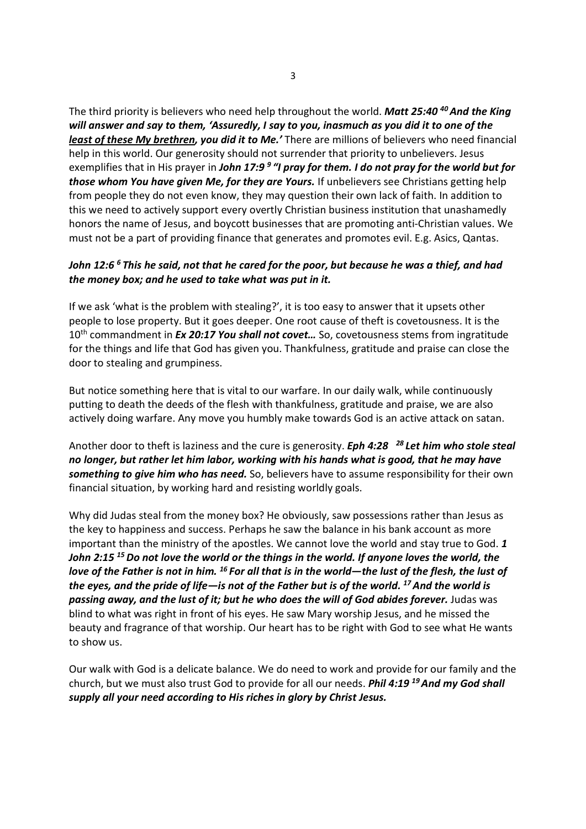The third priority is believers who need help throughout the world. Matt 25:40 <sup>40</sup> And the King will answer and say to them, 'Assuredly, I say to you, inasmuch as you did it to one of the least of these My brethren, you did it to Me.' There are millions of believers who need financial help in this world. Our generosity should not surrender that priority to unbelievers. Jesus exemplifies that in His prayer in John 17:9<sup>9</sup> "I pray for them. I do not pray for the world but for those whom You have given Me, for they are Yours. If unbelievers see Christians getting help from people they do not even know, they may question their own lack of faith. In addition to this we need to actively support every overtly Christian business institution that unashamedly honors the name of Jesus, and boycott businesses that are promoting anti-Christian values. We must not be a part of providing finance that generates and promotes evil. E.g. Asics, Qantas.

# John 12:6<sup>6</sup> This he said, not that he cared for the poor, but because he was a thief, and had the money box; and he used to take what was put in it.

If we ask 'what is the problem with stealing?', it is too easy to answer that it upsets other people to lose property. But it goes deeper. One root cause of theft is covetousness. It is the 10<sup>th</sup> commandment in *Ex 20:17 You shall not covet...* So, covetousness stems from ingratitude for the things and life that God has given you. Thankfulness, gratitude and praise can close the door to stealing and grumpiness.

But notice something here that is vital to our warfare. In our daily walk, while continuously putting to death the deeds of the flesh with thankfulness, gratitude and praise, we are also actively doing warfare. Any move you humbly make towards God is an active attack on satan.

Another door to theft is laziness and the cure is generosity. Eph 4:28  $^{28}$  Let him who stole steal no longer, but rather let him labor, working with his hands what is good, that he may have something to give him who has need. So, believers have to assume responsibility for their own financial situation, by working hard and resisting worldly goals.

Why did Judas steal from the money box? He obviously, saw possessions rather than Jesus as the key to happiness and success. Perhaps he saw the balance in his bank account as more important than the ministry of the apostles. We cannot love the world and stay true to God. 1 John 2:15  $^{15}$  Do not love the world or the things in the world. If anyone loves the world, the love of the Father is not in him. <sup>16</sup> For all that is in the world—the lust of the flesh, the lust of the eyes, and the pride of life—is not of the Father but is of the world.  $^{17}$  And the world is passing away, and the lust of it; but he who does the will of God abides forever. Judas was blind to what was right in front of his eyes. He saw Mary worship Jesus, and he missed the beauty and fragrance of that worship. Our heart has to be right with God to see what He wants to show us.

Our walk with God is a delicate balance. We do need to work and provide for our family and the church, but we must also trust God to provide for all our needs. Phil 4:19<sup>19</sup> And my God shall supply all your need according to His riches in glory by Christ Jesus.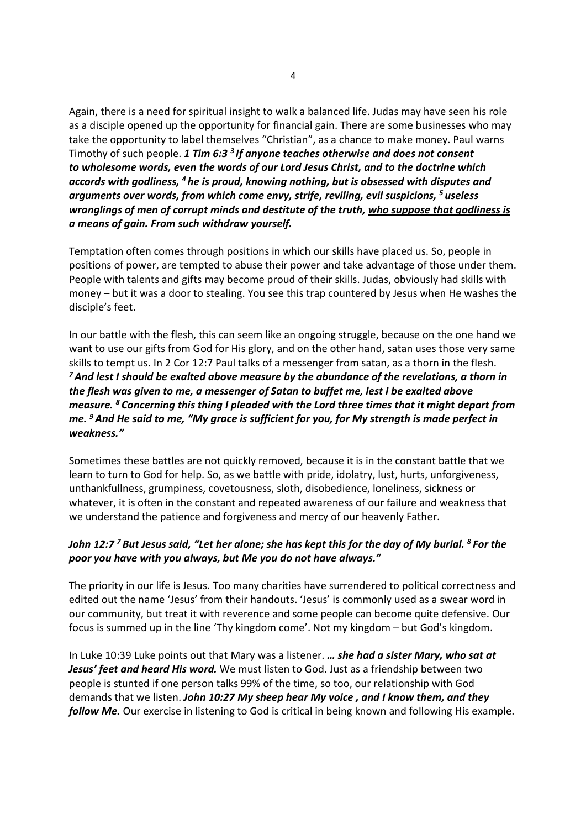Again, there is a need for spiritual insight to walk a balanced life. Judas may have seen his role as a disciple opened up the opportunity for financial gain. There are some businesses who may take the opportunity to label themselves "Christian", as a chance to make money. Paul warns Timothy of such people. 1 Tim 6:3<sup>3</sup> If anyone teaches otherwise and does not consent to wholesome words, even the words of our Lord Jesus Christ, and to the doctrine which accords with godliness, <sup>4</sup>he is proud, knowing nothing, but is obsessed with disputes and arguments over words, from which come envy, strife, reviling, evil suspicions,  $<sup>5</sup>$  useless</sup> wranglings of men of corrupt minds and destitute of the truth, who suppose that godliness is a means of gain. From such withdraw yourself.

Temptation often comes through positions in which our skills have placed us. So, people in positions of power, are tempted to abuse their power and take advantage of those under them. People with talents and gifts may become proud of their skills. Judas, obviously had skills with money – but it was a door to stealing. You see this trap countered by Jesus when He washes the disciple's feet.

In our battle with the flesh, this can seem like an ongoing struggle, because on the one hand we want to use our gifts from God for His glory, and on the other hand, satan uses those very same skills to tempt us. In 2 Cor 12:7 Paul talks of a messenger from satan, as a thorn in the flesh.  $<sup>7</sup>$  And lest I should be exalted above measure by the abundance of the revelations, a thorn in</sup> the flesh was given to me, a messenger of Satan to buffet me, lest I be exalted above measure. <sup>8</sup> Concerning this thing I pleaded with the Lord three times that it might depart from me. <sup>9</sup> And He said to me, "My grace is sufficient for you, for My strength is made perfect in weakness."

Sometimes these battles are not quickly removed, because it is in the constant battle that we learn to turn to God for help. So, as we battle with pride, idolatry, lust, hurts, unforgiveness, unthankfullness, grumpiness, covetousness, sloth, disobedience, loneliness, sickness or whatever, it is often in the constant and repeated awareness of our failure and weakness that we understand the patience and forgiveness and mercy of our heavenly Father.

# John 12:7<sup>7</sup> But Jesus said, "Let her alone; she has kept this for the day of My burial.  $8$  For the poor you have with you always, but Me you do not have always."

The priority in our life is Jesus. Too many charities have surrendered to political correctness and edited out the name 'Jesus' from their handouts. 'Jesus' is commonly used as a swear word in our community, but treat it with reverence and some people can become quite defensive. Our focus is summed up in the line 'Thy kingdom come'. Not my kingdom – but God's kingdom.

In Luke 10:39 Luke points out that Mary was a listener. ... she had a sister Mary, who sat at Jesus' feet and heard His word. We must listen to God. Just as a friendship between two people is stunted if one person talks 99% of the time, so too, our relationship with God demands that we listen. John 10:27 My sheep hear My voice, and I know them, and they follow Me. Our exercise in listening to God is critical in being known and following His example.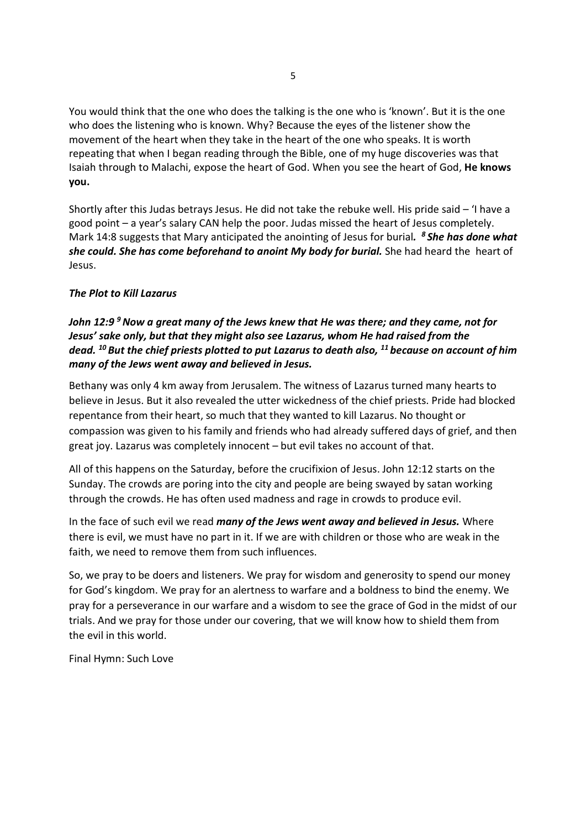You would think that the one who does the talking is the one who is 'known'. But it is the one who does the listening who is known. Why? Because the eyes of the listener show the movement of the heart when they take in the heart of the one who speaks. It is worth repeating that when I began reading through the Bible, one of my huge discoveries was that Isaiah through to Malachi, expose the heart of God. When you see the heart of God, He knows you.

Shortly after this Judas betrays Jesus. He did not take the rebuke well. His pride said – 'I have a good point – a year's salary CAN help the poor. Judas missed the heart of Jesus completely. Mark 14:8 suggests that Mary anticipated the anointing of Jesus for burial. <sup>8</sup> She has done what she could. She has come beforehand to anoint My body for burial. She had heard the heart of Jesus.

# The Plot to Kill Lazarus

# John 12:9<sup>9</sup> Now a great many of the Jews knew that He was there; and they came, not for Jesus' sake only, but that they might also see Lazarus, whom He had raised from the dead. <sup>10</sup> But the chief priests plotted to put Lazarus to death also, <sup>11</sup> because on account of him many of the Jews went away and believed in Jesus.

Bethany was only 4 km away from Jerusalem. The witness of Lazarus turned many hearts to believe in Jesus. But it also revealed the utter wickedness of the chief priests. Pride had blocked repentance from their heart, so much that they wanted to kill Lazarus. No thought or compassion was given to his family and friends who had already suffered days of grief, and then great joy. Lazarus was completely innocent – but evil takes no account of that.

All of this happens on the Saturday, before the crucifixion of Jesus. John 12:12 starts on the Sunday. The crowds are poring into the city and people are being swayed by satan working through the crowds. He has often used madness and rage in crowds to produce evil.

In the face of such evil we read many of the Jews went away and believed in Jesus. Where there is evil, we must have no part in it. If we are with children or those who are weak in the faith, we need to remove them from such influences.

So, we pray to be doers and listeners. We pray for wisdom and generosity to spend our money for God's kingdom. We pray for an alertness to warfare and a boldness to bind the enemy. We pray for a perseverance in our warfare and a wisdom to see the grace of God in the midst of our trials. And we pray for those under our covering, that we will know how to shield them from the evil in this world.

Final Hymn: Such Love